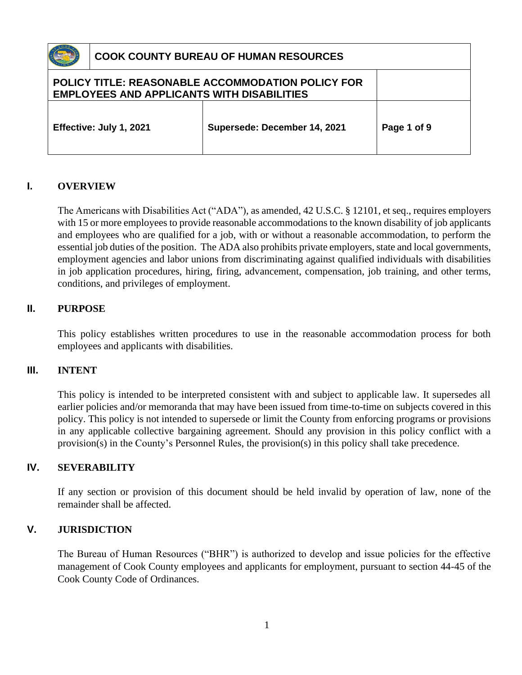

| <b>EMPLOYEES AND APPLICANTS WITH DISABILITIES</b> | <b>POLICY TITLE: REASONABLE ACCOMMODATION POLICY FOR</b> |             |
|---------------------------------------------------|----------------------------------------------------------|-------------|
| Effective: July 1, 2021                           | Supersede: December 14, 2021                             | Page 1 of 9 |

### **I. OVERVIEW**

The Americans with Disabilities Act ("ADA"), as amended, 42 U.S.C. § 12101, et seq., requires employers with 15 or more employees to provide reasonable accommodations to the known disability of job applicants and employees who are qualified for a job, with or without a reasonable accommodation, to perform the essential job duties of the position. The ADA also prohibits private employers, state and local governments, employment agencies and labor unions from discriminating against qualified individuals with disabilities in job application procedures, hiring, firing, advancement, compensation, job training, and other terms, conditions, and privileges of employment.

### **II. PURPOSE**

This policy establishes written procedures to use in the reasonable accommodation process for both employees and applicants with disabilities.

### **III. INTENT**

This policy is intended to be interpreted consistent with and subject to applicable law. It supersedes all earlier policies and/or memoranda that may have been issued from time-to-time on subjects covered in this policy. This policy is not intended to supersede or limit the County from enforcing programs or provisions in any applicable collective bargaining agreement. Should any provision in this policy conflict with a provision(s) in the County's Personnel Rules, the provision(s) in this policy shall take precedence.

### **IV. SEVERABILITY**

If any section or provision of this document should be held invalid by operation of law, none of the remainder shall be affected.

### **V. JURISDICTION**

The Bureau of Human Resources ("BHR") is authorized to develop and issue policies for the effective management of Cook County employees and applicants for employment, pursuant to section 44-45 of the Cook County Code of Ordinances.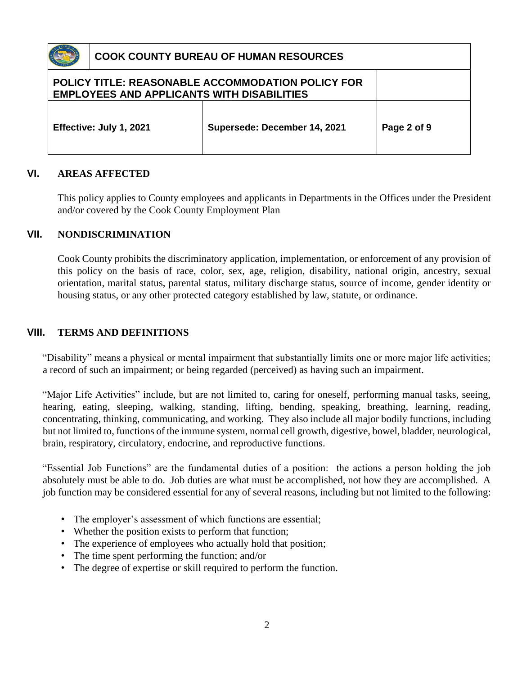| <b>COOK COUNTY BUREAU OF HUMAN RESOURCES</b>      |                                                          |             |
|---------------------------------------------------|----------------------------------------------------------|-------------|
| <b>EMPLOYEES AND APPLICANTS WITH DISABILITIES</b> | <b>POLICY TITLE: REASONABLE ACCOMMODATION POLICY FOR</b> |             |
| Effective: July 1, 2021                           | Supersede: December 14, 2021                             | Page 2 of 9 |

### **VI. AREAS AFFECTED**

This policy applies to County employees and applicants in Departments in the Offices under the President and/or covered by the Cook County Employment Plan

#### **VII. NONDISCRIMINATION**

Cook County prohibits the discriminatory application, implementation, or enforcement of any provision of this policy on the basis of race, color, sex, age, religion, disability, national origin, ancestry, sexual orientation, marital status, parental status, military discharge status, source of income, gender identity or housing status, or any other protected category established by law, statute, or ordinance.

#### **VIII. TERMS AND DEFINITIONS**

"Disability" means a physical or mental impairment that substantially limits one or more major life activities; a record of such an impairment; or being regarded (perceived) as having such an impairment.

"Major Life Activities" include, but are not limited to, caring for oneself, performing manual tasks, seeing, hearing, eating, sleeping, walking, standing, lifting, bending, speaking, breathing, learning, reading, concentrating, thinking, communicating, and working. They also include all major bodily functions, including but not limited to, functions of the immune system, normal cell growth, digestive, bowel, bladder, neurological, brain, respiratory, circulatory, endocrine, and reproductive functions.

"Essential Job Functions" are the fundamental duties of a position: the actions a person holding the job absolutely must be able to do. Job duties are what must be accomplished, not how they are accomplished. A job function may be considered essential for any of several reasons, including but not limited to the following:

- The employer's assessment of which functions are essential;
- Whether the position exists to perform that function;
- The experience of employees who actually hold that position;
- The time spent performing the function; and/or
- The degree of expertise or skill required to perform the function.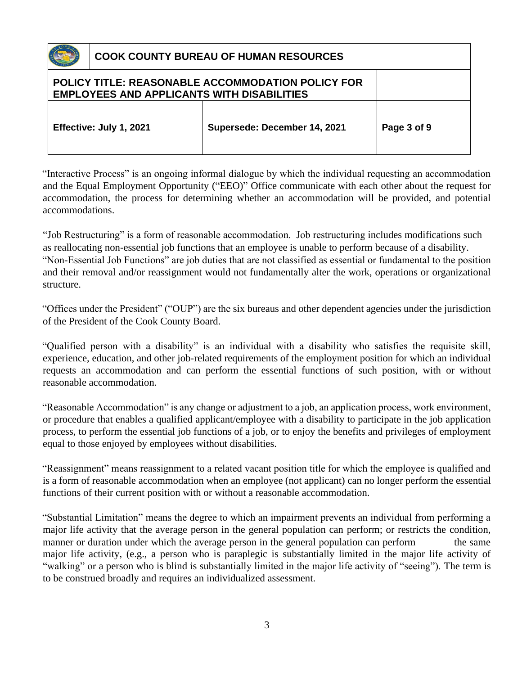| <b>EMPLOYEES AND APPLICANTS WITH DISABILITIES</b> | <b>POLICY TITLE: REASONABLE ACCOMMODATION POLICY FOR</b> |             |
|---------------------------------------------------|----------------------------------------------------------|-------------|
| Effective: July 1, 2021                           | Supersede: December 14, 2021                             | Page 3 of 9 |

"Interactive Process" is an ongoing informal dialogue by which the individual requesting an accommodation and the Equal Employment Opportunity ("EEO)" Office communicate with each other about the request for accommodation, the process for determining whether an accommodation will be provided, and potential accommodations.

"Job Restructuring" is a form of reasonable accommodation. Job restructuring includes modifications such as reallocating non-essential job functions that an employee is unable to perform because of a disability. "Non-Essential Job Functions" are job duties that are not classified as essential or fundamental to the position and their removal and/or reassignment would not fundamentally alter the work, operations or organizational structure.

"Offices under the President" ("OUP") are the six bureaus and other dependent agencies under the jurisdiction of the President of the Cook County Board.

"Qualified person with a disability" is an individual with a disability who satisfies the requisite skill, experience, education, and other job-related requirements of the employment position for which an individual requests an accommodation and can perform the essential functions of such position, with or without reasonable accommodation.

"Reasonable Accommodation" is any change or adjustment to a job, an application process, work environment, or procedure that enables a qualified applicant/employee with a disability to participate in the job application process, to perform the essential job functions of a job, or to enjoy the benefits and privileges of employment equal to those enjoyed by employees without disabilities.

"Reassignment" means reassignment to a related vacant position title for which the employee is qualified and is a form of reasonable accommodation when an employee (not applicant) can no longer perform the essential functions of their current position with or without a reasonable accommodation.

"Substantial Limitation" means the degree to which an impairment prevents an individual from performing a major life activity that the average person in the general population can perform; or restricts the condition, manner or duration under which the average person in the general population can perform the same major life activity, (e.g., a person who is paraplegic is substantially limited in the major life activity of "walking" or a person who is blind is substantially limited in the major life activity of "seeing"). The term is to be construed broadly and requires an individualized assessment.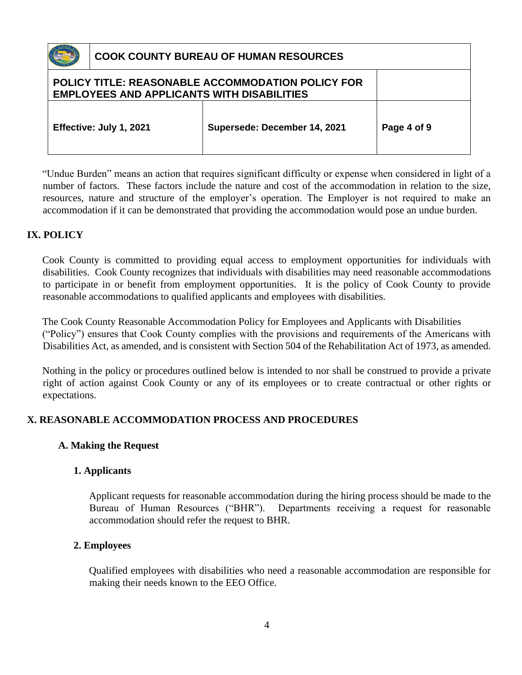|                                                                                                        | <b>COOK COUNTY BUREAU OF HUMAN RESOURCES</b> |                              |             |
|--------------------------------------------------------------------------------------------------------|----------------------------------------------|------------------------------|-------------|
| POLICY TITLE: REASONABLE ACCOMMODATION POLICY FOR<br><b>EMPLOYEES AND APPLICANTS WITH DISABILITIES</b> |                                              |                              |             |
|                                                                                                        | Effective: July 1, 2021                      | Supersede: December 14, 2021 | Page 4 of 9 |

"Undue Burden" means an action that requires significant difficulty or expense when considered in light of a number of factors. These factors include the nature and cost of the accommodation in relation to the size, resources, nature and structure of the employer's operation. The Employer is not required to make an accommodation if it can be demonstrated that providing the accommodation would pose an undue burden.

## **IX. POLICY**

Cook County is committed to providing equal access to employment opportunities for individuals with disabilities. Cook County recognizes that individuals with disabilities may need reasonable accommodations to participate in or benefit from employment opportunities. It is the policy of Cook County to provide reasonable accommodations to qualified applicants and employees with disabilities.

The Cook County Reasonable Accommodation Policy for Employees and Applicants with Disabilities ("Policy") ensures that Cook County complies with the provisions and requirements of the Americans with Disabilities Act, as amended, and is consistent with Section 504 of the Rehabilitation Act of 1973, as amended.

Nothing in the policy or procedures outlined below is intended to nor shall be construed to provide a private right of action against Cook County or any of its employees or to create contractual or other rights or expectations.

## **X. REASONABLE ACCOMMODATION PROCESS AND PROCEDURES**

### **A. Making the Request**

## **1. Applicants**

Applicant requests for reasonable accommodation during the hiring process should be made to the Bureau of Human Resources ("BHR"). Departments receiving a request for reasonable accommodation should refer the request to BHR.

### **2. Employees**

Qualified employees with disabilities who need a reasonable accommodation are responsible for making their needs known to the EEO Office.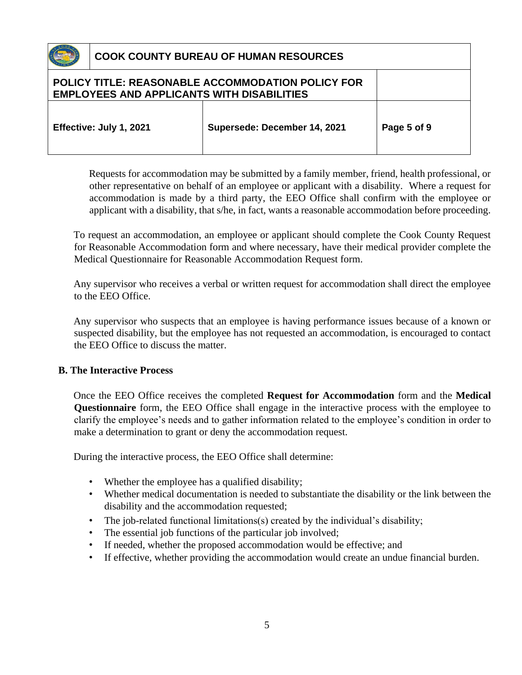

| <b>EMPLOYEES AND APPLICANTS WITH DISABILITIES</b> | POLICY TITLE: REASONABLE ACCOMMODATION POLICY FOR |             |
|---------------------------------------------------|---------------------------------------------------|-------------|
| Effective: July 1, 2021                           | Supersede: December 14, 2021                      | Page 5 of 9 |

Requests for accommodation may be submitted by a family member, friend, health professional, or other representative on behalf of an employee or applicant with a disability. Where a request for accommodation is made by a third party, the EEO Office shall confirm with the employee or applicant with a disability, that s/he, in fact, wants a reasonable accommodation before proceeding.

To request an accommodation, an employee or applicant should complete the Cook County Request for Reasonable Accommodation form and where necessary, have their medical provider complete the Medical Questionnaire for Reasonable Accommodation Request form.

Any supervisor who receives a verbal or written request for accommodation shall direct the employee to the EEO Office.

Any supervisor who suspects that an employee is having performance issues because of a known or suspected disability, but the employee has not requested an accommodation, is encouraged to contact the EEO Office to discuss the matter.

### **B. The Interactive Process**

Once the EEO Office receives the completed **Request for Accommodation** form and the **Medical Questionnaire** form, the EEO Office shall engage in the interactive process with the employee to clarify the employee's needs and to gather information related to the employee's condition in order to make a determination to grant or deny the accommodation request.

During the interactive process, the EEO Office shall determine:

- Whether the employee has a qualified disability;
- Whether medical documentation is needed to substantiate the disability or the link between the disability and the accommodation requested;
- The job-related functional limitations(s) created by the individual's disability;
- The essential job functions of the particular job involved;
- If needed, whether the proposed accommodation would be effective; and
- If effective, whether providing the accommodation would create an undue financial burden.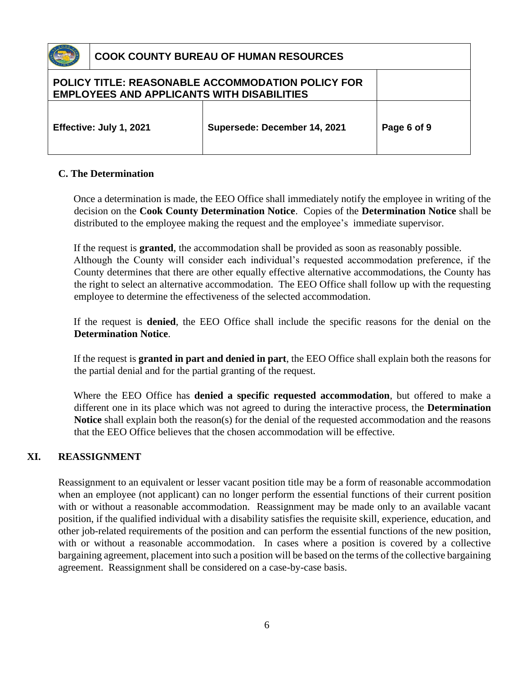| <b>EMPLOYEES AND APPLICANTS WITH DISABILITIES</b> | <b>POLICY TITLE: REASONABLE ACCOMMODATION POLICY FOR</b> |             |
|---------------------------------------------------|----------------------------------------------------------|-------------|
| Effective: July 1, 2021                           | Supersede: December 14, 2021                             | Page 6 of 9 |

### **C. The Determination**

Once a determination is made, the EEO Office shall immediately notify the employee in writing of the decision on the **Cook County Determination Notice**. Copies of the **Determination Notice** shall be distributed to the employee making the request and the employee's immediate supervisor.

If the request is **granted**, the accommodation shall be provided as soon as reasonably possible.

Although the County will consider each individual's requested accommodation preference, if the County determines that there are other equally effective alternative accommodations, the County has the right to select an alternative accommodation. The EEO Office shall follow up with the requesting employee to determine the effectiveness of the selected accommodation.

If the request is **denied**, the EEO Office shall include the specific reasons for the denial on the **Determination Notice**.

If the request is **granted in part and denied in part**, the EEO Office shall explain both the reasons for the partial denial and for the partial granting of the request.

Where the EEO Office has **denied a specific requested accommodation**, but offered to make a different one in its place which was not agreed to during the interactive process, the **Determination Notice** shall explain both the reason(s) for the denial of the requested accommodation and the reasons that the EEO Office believes that the chosen accommodation will be effective.

### **XI. REASSIGNMENT**

Reassignment to an equivalent or lesser vacant position title may be a form of reasonable accommodation when an employee (not applicant) can no longer perform the essential functions of their current position with or without a reasonable accommodation. Reassignment may be made only to an available vacant position, if the qualified individual with a disability satisfies the requisite skill, experience, education, and other job-related requirements of the position and can perform the essential functions of the new position, with or without a reasonable accommodation. In cases where a position is covered by a collective bargaining agreement, placement into such a position will be based on the terms of the collective bargaining agreement. Reassignment shall be considered on a case-by-case basis.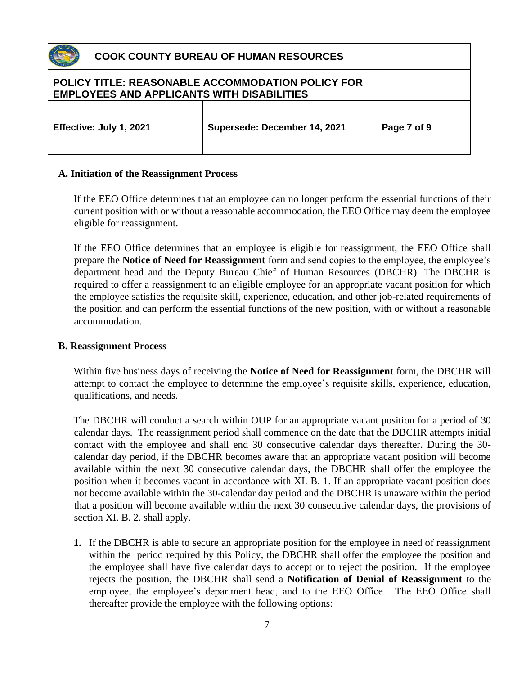|                                                                                                        | <b>COOK COUNTY BUREAU OF HUMAN RESOURCES</b> |                              |             |
|--------------------------------------------------------------------------------------------------------|----------------------------------------------|------------------------------|-------------|
| POLICY TITLE: REASONABLE ACCOMMODATION POLICY FOR<br><b>EMPLOYEES AND APPLICANTS WITH DISABILITIES</b> |                                              |                              |             |
|                                                                                                        | Effective: July 1, 2021                      | Supersede: December 14, 2021 | Page 7 of 9 |

#### **A. Initiation of the Reassignment Process**

If the EEO Office determines that an employee can no longer perform the essential functions of their current position with or without a reasonable accommodation, the EEO Office may deem the employee eligible for reassignment.

If the EEO Office determines that an employee is eligible for reassignment, the EEO Office shall prepare the **Notice of Need for Reassignment** form and send copies to the employee, the employee's department head and the Deputy Bureau Chief of Human Resources (DBCHR). The DBCHR is required to offer a reassignment to an eligible employee for an appropriate vacant position for which the employee satisfies the requisite skill, experience, education, and other job-related requirements of the position and can perform the essential functions of the new position, with or without a reasonable accommodation.

#### **B. Reassignment Process**

Within five business days of receiving the **Notice of Need for Reassignment** form, the DBCHR will attempt to contact the employee to determine the employee's requisite skills, experience, education, qualifications, and needs.

The DBCHR will conduct a search within OUP for an appropriate vacant position for a period of 30 calendar days. The reassignment period shall commence on the date that the DBCHR attempts initial contact with the employee and shall end 30 consecutive calendar days thereafter. During the 30 calendar day period, if the DBCHR becomes aware that an appropriate vacant position will become available within the next 30 consecutive calendar days, the DBCHR shall offer the employee the position when it becomes vacant in accordance with XI. B. 1. If an appropriate vacant position does not become available within the 30-calendar day period and the DBCHR is unaware within the period that a position will become available within the next 30 consecutive calendar days, the provisions of section XI. B. 2. shall apply.

**1.** If the DBCHR is able to secure an appropriate position for the employee in need of reassignment within the period required by this Policy, the DBCHR shall offer the employee the position and the employee shall have five calendar days to accept or to reject the position. If the employee rejects the position, the DBCHR shall send a **Notification of Denial of Reassignment** to the employee, the employee's department head, and to the EEO Office. The EEO Office shall thereafter provide the employee with the following options: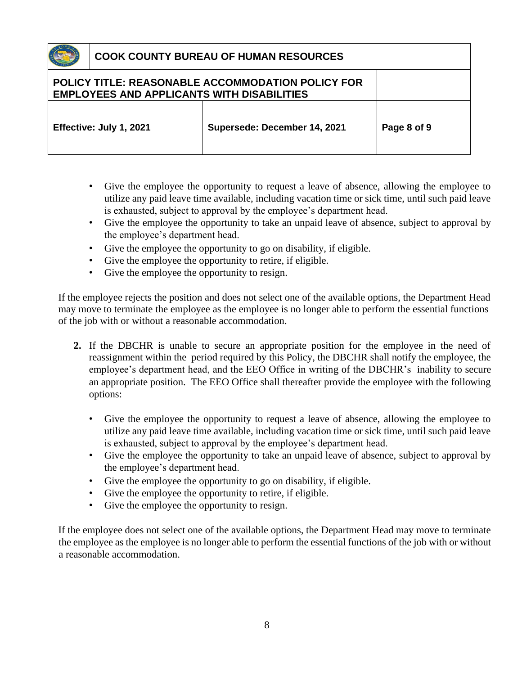**POLICY TITLE: REASONABLE ACCOMMODATION POLICY FOR EMPLOYEES AND APPLICANTS WITH DISABILITIES Effective: July 1, 2021 Supersede: December 14, 2021 Page 8 of 9**

- Give the employee the opportunity to request a leave of absence, allowing the employee to utilize any paid leave time available, including vacation time or sick time, until such paid leave is exhausted, subject to approval by the employee's department head.
- Give the employee the opportunity to take an unpaid leave of absence, subject to approval by the employee's department head.
- Give the employee the opportunity to go on disability, if eligible.
- Give the employee the opportunity to retire, if eligible.
- Give the employee the opportunity to resign.

If the employee rejects the position and does not select one of the available options, the Department Head may move to terminate the employee as the employee is no longer able to perform the essential functions of the job with or without a reasonable accommodation.

- **2.** If the DBCHR is unable to secure an appropriate position for the employee in the need of reassignment within the period required by this Policy, the DBCHR shall notify the employee, the employee's department head, and the EEO Office in writing of the DBCHR's inability to secure an appropriate position. The EEO Office shall thereafter provide the employee with the following options:
	- Give the employee the opportunity to request a leave of absence, allowing the employee to utilize any paid leave time available, including vacation time or sick time, until such paid leave is exhausted, subject to approval by the employee's department head.
	- Give the employee the opportunity to take an unpaid leave of absence, subject to approval by the employee's department head.
	- Give the employee the opportunity to go on disability, if eligible.
	- Give the employee the opportunity to retire, if eligible.
	- Give the employee the opportunity to resign.

If the employee does not select one of the available options, the Department Head may move to terminate the employee as the employee is no longer able to perform the essential functions of the job with or without a reasonable accommodation.